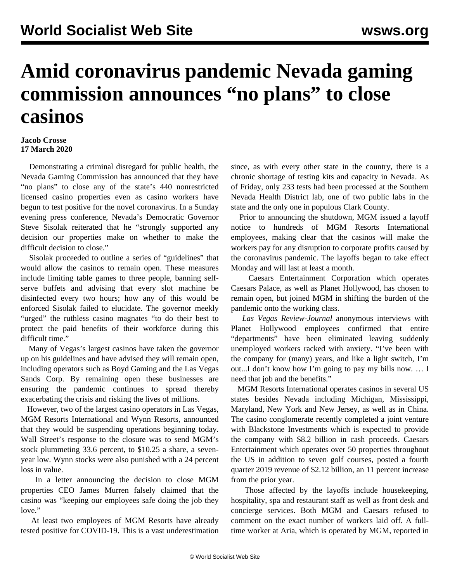## **Amid coronavirus pandemic Nevada gaming commission announces "no plans" to close casinos**

## **Jacob Crosse 17 March 2020**

 Demonstrating a criminal disregard for public health, the Nevada Gaming Commission has announced that they have "no plans" to close any of the state's 440 nonrestricted licensed casino properties even as casino workers have begun to test positive for the novel coronavirus. In a Sunday evening press conference, Nevada's Democratic Governor Steve Sisolak reiterated that he "strongly supported any decision our properties make on whether to make the difficult decision to close."

 Sisolak proceeded to outline a series of "guidelines" that would allow the casinos to remain open. These measures include limiting table games to three people, banning selfserve buffets and advising that every slot machine be disinfected every two hours; how any of this would be enforced Sisolak failed to elucidate. The governor meekly "urged" the ruthless casino magnates "to do their best to protect the paid benefits of their workforce during this difficult time."

 Many of Vegas's largest casinos have taken the governor up on his guidelines and have advised they will remain open, including operators such as Boyd Gaming and the Las Vegas Sands Corp. By remaining open these businesses are ensuring the pandemic continues to spread thereby exacerbating the crisis and risking the lives of millions.

 However, two of the largest casino operators in Las Vegas, MGM Resorts International and Wynn Resorts, announced that they would be suspending operations beginning today. Wall Street's response to the closure was to send MGM's stock plummeting 33.6 percent, to \$10.25 a share, a sevenyear low. Wynn stocks were also punished with a 24 percent loss in value.

 In a letter announcing the decision to close MGM properties CEO James Murren falsely claimed that the casino was "keeping our employees safe doing the job they love."

 At least two employees of MGM Resorts have already tested positive for COVID-19. This is a vast underestimation since, as with every other state in the country, there is a chronic shortage of testing kits and capacity in Nevada. As of Friday, only 233 tests had been processed at the Southern Nevada Health District lab, one of two public labs in the state and the only one in populous Clark County.

 Prior to announcing the shutdown, MGM issued a layoff notice to hundreds of MGM Resorts International employees, making clear that the casinos will make the workers pay for any disruption to corporate profits caused by the coronavirus pandemic. The layoffs began to take effect Monday and will last at least a month.

 Caesars Entertainment Corporation which operates Caesars Palace, as well as Planet Hollywood, has chosen to remain open, but joined MGM in shifting the burden of the pandemic onto the working class.

 *Las Vegas Review-Journal* anonymous interviews with Planet Hollywood employees confirmed that entire "departments" have been eliminated leaving suddenly unemployed workers racked with anxiety. "I've been with the company for (many) years, and like a light switch, I'm out...I don't know how I'm going to pay my bills now. … I need that job and the benefits."

 MGM Resorts International operates casinos in several US states besides Nevada including Michigan, Mississippi, Maryland, New York and New Jersey, as well as in China. The casino conglomerate recently completed a joint venture with Blackstone Investments which is expected to provide the company with \$8.2 billion in cash proceeds. Caesars Entertainment which operates over 50 properties throughout the US in addition to seven golf courses, posted a fourth quarter 2019 revenue of \$2.12 billion, an 11 percent increase from the prior year.

 Those affected by the layoffs include housekeeping, hospitality, spa and restaurant staff as well as front desk and concierge services. Both MGM and Caesars refused to comment on the exact number of workers laid off. A fulltime worker at Aria, which is operated by MGM, reported in